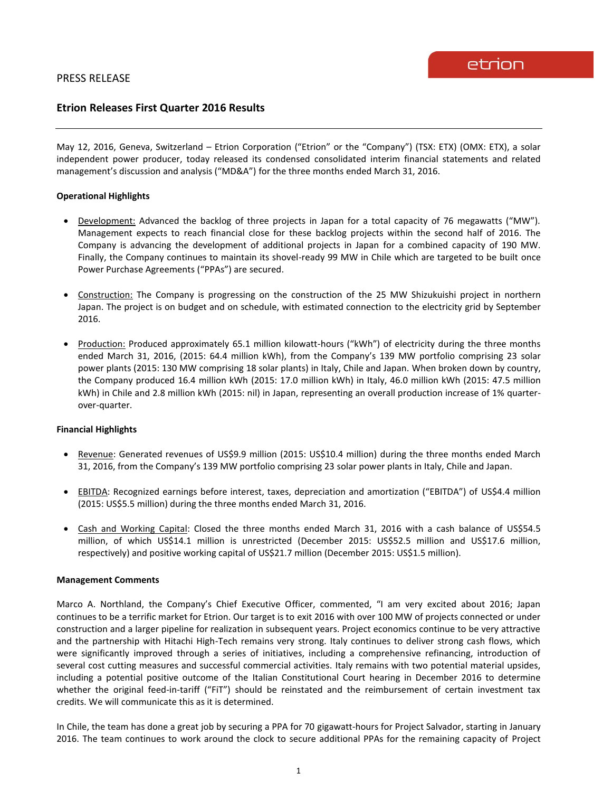# **Etrion Releases First Quarter 2016 Results**

May 12, 2016, Geneva, Switzerland – Etrion Corporation ("Etrion" or the "Company") (TSX: ETX) (OMX: ETX), a solar independent power producer, today released its condensed consolidated interim financial statements and related management's discussion and analysis ("MD&A") for the three months ended March 31, 2016.

### **Operational Highlights**

- Development: Advanced the backlog of three projects in Japan for a total capacity of 76 megawatts ("MW"). Management expects to reach financial close for these backlog projects within the second half of 2016. The Company is advancing the development of additional projects in Japan for a combined capacity of 190 MW. Finally, the Company continues to maintain its shovel-ready 99 MW in Chile which are targeted to be built once Power Purchase Agreements ("PPAs") are secured.
- Construction: The Company is progressing on the construction of the 25 MW Shizukuishi project in northern Japan. The project is on budget and on schedule, with estimated connection to the electricity grid by September 2016.
- Production: Produced approximately 65.1 million kilowatt-hours ("kWh") of electricity during the three months ended March 31, 2016, (2015: 64.4 million kWh), from the Company's 139 MW portfolio comprising 23 solar power plants (2015: 130 MW comprising 18 solar plants) in Italy, Chile and Japan. When broken down by country, the Company produced 16.4 million kWh (2015: 17.0 million kWh) in Italy, 46.0 million kWh (2015: 47.5 million kWh) in Chile and 2.8 million kWh (2015: nil) in Japan, representing an overall production increase of 1% quarterover-quarter.

#### **Financial Highlights**

- Revenue: Generated revenues of US\$9.9 million (2015: US\$10.4 million) during the three months ended March 31, 2016, from the Company's 139 MW portfolio comprising 23 solar power plants in Italy, Chile and Japan.
- EBITDA: Recognized earnings before interest, taxes, depreciation and amortization ("EBITDA") of US\$4.4 million (2015: US\$5.5 million) during the three months ended March 31, 2016.
- Cash and Working Capital: Closed the three months ended March 31, 2016 with a cash balance of US\$54.5 million, of which US\$14.1 million is unrestricted (December 2015: US\$52.5 million and US\$17.6 million, respectively) and positive working capital of US\$21.7 million (December 2015: US\$1.5 million).

#### **Management Comments**

Marco A. Northland, the Company's Chief Executive Officer, commented, "I am very excited about 2016; Japan continues to be a terrific market for Etrion. Our target is to exit 2016 with over 100 MW of projects connected or under construction and a larger pipeline for realization in subsequent years. Project economics continue to be very attractive and the partnership with Hitachi High-Tech remains very strong. Italy continues to deliver strong cash flows, which were significantly improved through a series of initiatives, including a comprehensive refinancing, introduction of several cost cutting measures and successful commercial activities. Italy remains with two potential material upsides, including a potential positive outcome of the Italian Constitutional Court hearing in December 2016 to determine whether the original feed-in-tariff ("FiT") should be reinstated and the reimbursement of certain investment tax credits. We will communicate this as it is determined.

In Chile, the team has done a great job by securing a PPA for 70 gigawatt-hours for Project Salvador, starting in January 2016. The team continues to work around the clock to secure additional PPAs for the remaining capacity of Project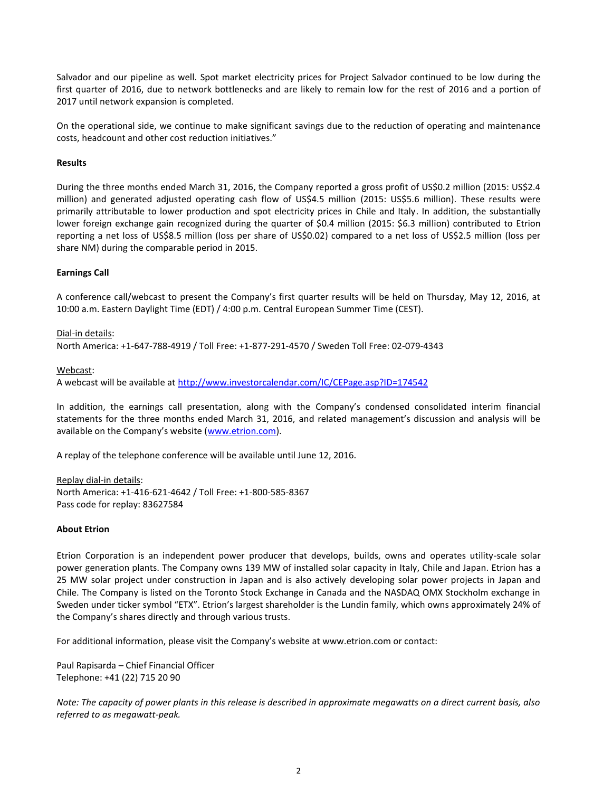Salvador and our pipeline as well. Spot market electricity prices for Project Salvador continued to be low during the first quarter of 2016, due to network bottlenecks and are likely to remain low for the rest of 2016 and a portion of 2017 until network expansion is completed.

On the operational side, we continue to make significant savings due to the reduction of operating and maintenance costs, headcount and other cost reduction initiatives."

### **Results**

During the three months ended March 31, 2016, the Company reported a gross profit of US\$0.2 million (2015: US\$2.4 million) and generated adjusted operating cash flow of US\$4.5 million (2015: US\$5.6 million). These results were primarily attributable to lower production and spot electricity prices in Chile and Italy. In addition, the substantially lower foreign exchange gain recognized during the quarter of \$0.4 million (2015: \$6.3 million) contributed to Etrion reporting a net loss of US\$8.5 million (loss per share of US\$0.02) compared to a net loss of US\$2.5 million (loss per share NM) during the comparable period in 2015.

### **Earnings Call**

A conference call/webcast to present the Company's first quarter results will be held on Thursday, May 12, 2016, at 10:00 a.m. Eastern Daylight Time (EDT) / 4:00 p.m. Central European Summer Time (CEST).

#### Dial-in details:

North America: +1-647-788-4919 / Toll Free: +1-877-291-4570 / Sweden Toll Free: 02-079-4343

#### Webcast:

A webcast will be available at<http://www.investorcalendar.com/IC/CEPage.asp?ID=174542>

In addition, the earnings call presentation, along with the Company's condensed consolidated interim financial statements for the three months ended March 31, 2016, and related management's discussion and analysis will be available on the Company's website ([www.etrion.com\)](http://www.etrion.com/).

A replay of the telephone conference will be available until June 12, 2016.

Replay dial-in details: North America: +1-416-621-4642 / Toll Free: +1-800-585-8367 Pass code for replay: 83627584

#### **About Etrion**

Etrion Corporation is an independent power producer that develops, builds, owns and operates utility-scale solar power generation plants. The Company owns 139 MW of installed solar capacity in Italy, Chile and Japan. Etrion has a 25 MW solar project under construction in Japan and is also actively developing solar power projects in Japan and Chile. The Company is listed on the Toronto Stock Exchange in Canada and the NASDAQ OMX Stockholm exchange in Sweden under ticker symbol "ETX". Etrion's largest shareholder is the Lundin family, which owns approximately 24% of the Company's shares directly and through various trusts.

For additional information, please visit the Company's website at www.etrion.com or contact:

Paul Rapisarda – Chief Financial Officer Telephone: +41 (22) 715 20 90

*Note: The capacity of power plants in this release is described in approximate megawatts on a direct current basis, also referred to as megawatt-peak.*